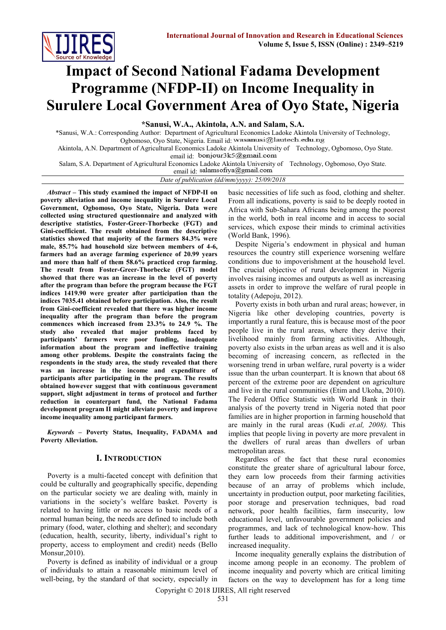

# **Impact of Second National Fadama Development Programme (NFDP-II) on Income Inequality in Surulere Local Government Area of Oyo State, Nigeria**

**\*Sanusi, W.A., Akintola, A.N. and Salam, S.A.**

\*Sanusi, W.A.: Corresponding Author: Department of Agricultural Economics Ladoke Akintola University of Technology, Ogbomoso, Oyo State, Nigeria. Email id: wasanusi@lautech.edu.ng Akintola, A.N. Department of Agricultural Economics Ladoke Akintola University of Technology, Ogbomoso, Oyo State.

email id: bonjour3k5@gmail.com

Salam, S.A. Department of Agricultural Economics Ladoke Akintola University of Technology, Ogbomoso, Oyo State.

email id: salamsofiya@gmail.com *Date of publication (dd/mm/yyyy): 25/09/2018*

*Abstract –* **This study examined the impact of NFDP-II on poverty alleviation and income inequality in Surulere Local Government, Ogbomoso, Oyo State, Nigeria. Data were collected using structured questionnaire and analyzed with descriptive statistics, Foster-Greer-Thorbecke (FGT) and Gini-coefficient. The result obtained from the descriptive statistics showed that majority of the farmers 84.3% were male, 85.7% had household size between members of 4-6, farmers had an average farming experience of 20.99 years and more than half of them 58.6% practiced crop farming. The result from Foster-Greer-Thorbecke (FGT) model showed that there was an increase in the level of poverty after the program than before the program because the FGT indices 1419.90 were greater after participation than the indices 7035.41 obtained before participation. Also, the result from Gini-coefficient revealed that there was higher income inequality after the program than before the program commences which increased from 23.3% to 24.9 %. The study also revealed that major problems faced by participants' farmers were poor funding, inadequate information about the program and ineffective training among other problems. Despite the constraints facing the respondents in the study area, the study revealed that there was an increase in the income and expenditure of participants after participating in the program. The results obtained however suggest that with continuous government support, slight adjustment in terms of protocol and further reduction in counterpart fund, the National Fadama development program II might alleviate poverty and improve income inequality among participant farmers.**

*Keywords* **– Poverty Status, Inequality, FADAMA and Poverty Alleviation.**

## **I. INTRODUCTION**

Poverty is a multi-faceted concept with definition that could be culturally and geographically specific, depending on the particular society we are dealing with, mainly in variations in the society's welfare basket. Poverty is related to having little or no access to basic needs of a normal human being, the needs are defined to include both primary (food, water, clothing and shelter); and secondary (education, health, security, liberty, individual's right to property, access to employment and credit) needs (Bello Monsur,2010).

Poverty is defined as inability of individual or a group of individuals to attain a reasonable minimum level of well-being, by the standard of that society, especially in

basic necessities of life such as food, clothing and shelter. From all indications, poverty is said to be deeply rooted in Africa with Sub-Sahara Africans being among the poorest in the world, both in real income and in access to social services, which expose their minds to criminal activities (World Bank, 1996).

Despite Nigeria's endowment in physical and human resources the country still experience worsening welfare conditions due to impoverishment at the household level. The crucial objective of rural development in Nigeria involves raising incomes and outputs as well as increasing assets in order to improve the welfare of rural people in totality (Adepoju, 2012).

Poverty exists in both urban and rural areas; however, in Nigeria like other developing countries, poverty is importantly a rural feature, this is because most of the poor people live in the rural areas, where they derive their livelihood mainly from farming activities. Although, poverty also exists in the urban areas as well and it is also becoming of increasing concern, as reflected in the worsening trend in urban welfare, rural poverty is a wider issue than the urban counterpart. It is known that about 68 percent of the extreme poor are dependent on agriculture and live in the rural communities (Etim and Ukoha, 2010). The Federal Office Statistic with World Bank in their analysis of the poverty trend in Nigeria noted that poor families are in higher proportion in farming household that are mainly in the rural areas (Kudi *et.al, 2008).* This implies that people living in poverty are more prevalent in the dwellers of rural areas than dwellers of urban metropolitan areas.

Regardless of the fact that these rural economies constitute the greater share of agricultural labour force, they earn low proceeds from their farming activities because of an array of problems which include, uncertainty in production output, poor marketing facilities, poor storage and preservation techniques, bad road network, poor health facilities, farm insecurity, low educational level, unfavourable government policies and programmes, and lack of technological know-how. This further leads to additional impoverishment, and / or increased inequality.

Income inequality generally explains the distribution of income among people in an economy. The problem of income inequality and poverty which are critical limiting factors on the way to development has for a long time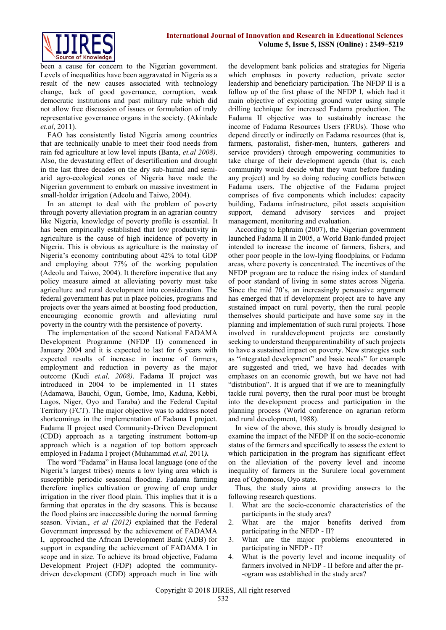

been a cause for concern to the Nigerian government. Levels of inequalities have been aggravated in Nigeria as a result of the new causes associated with technology change, lack of good governance, corruption, weak democratic institutions and past military rule which did not allow free discussion of issues or formulation of truly representative governance organs in the society. (Akinlade *et.al*, 2011).

FAO has consistently listed Nigeria among countries that are technically unable to meet their food needs from rain fed agriculture at low level inputs (Banta, *et.al 2008)*. Also, the devastating effect of desertification and drought in the last three decades on the dry sub-humid and semiarid agro-ecological zones of Nigeria have made the Nigerian government to embark on massive investment in small-holder irrigation (Adeolu and Taiwo, 2004).

In an attempt to deal with the problem of poverty through poverty alleviation program in an agrarian country like Nigeria, knowledge of poverty profile is essential. It has been empirically established that low productivity in agriculture is the cause of high incidence of poverty in Nigeria. This is obvious as agriculture is the mainstay of Nigeria's economy contributing about 42% to total GDP and employing about 77% of the working population (Adeolu and Taiwo, 2004). It therefore imperative that any policy measure aimed at alleviating poverty must take agriculture and rural development into consideration. The federal government has put in place policies, programs and projects over the years aimed at boosting food production, encouraging economic growth and alleviating rural poverty in the country with the persistence of poverty.

The implementation of the second National FADAMA Development Programme (NFDP II) commenced in January 2004 and it is expected to last for 6 years with expected results of increase in income of farmers, employment and reduction in poverty as the major outcome (Kudi *et.al, 2008)*. Fadama II project was introduced in 2004 to be implemented in 11 states (Adamawa, Bauchi, Ogun, Gombe, Imo, Kaduna, Kebbi, Lagos, Niger, Oyo and Taraba) and the Federal Capital Territory (FCT). The major objective was to address noted shortcomings in the implementation of Fadama I project. Fadama II project used Community-Driven Development (CDD) approach as a targeting instrument bottom-up approach which is a negation of top bottom approach employed in Fadama I project (Muhammad *et.al,* 2011*).*

The word "Fadama" in Hausa local language (one of the Nigeria's largest tribes) means a low lying area which is susceptible periodic seasonal flooding. Fadama farming therefore implies cultivation or growing of crop under irrigation in the river flood plain. This implies that it is a farming that operates in the dry seasons. This is because the flood plains are inaccessible during the normal farming season. Vivian., *et al (2012)* explained that the Federal Government impressed by the achievement of FADAMA I, approached the African Development Bank (ADB) for support in expanding the achievement of FADAMA I in scope and in size. To achieve its broad objective, Fadama Development Project (FDP) adopted the communitydriven development (CDD) approach much in line with the development bank policies and strategies for Nigeria which emphases in poverty reduction, private sector leadership and beneficiary participation. The NFDP II is a follow up of the first phase of the NFDP I, which had it main objective of exploiting ground water using simple drilling technique for increased Fadama production. The Fadama II objective was to sustainably increase the income of Fadama Resources Users (FRUs). Those who depend directly or indirectly on Fadama resources (that is, farmers, pastoralist, fisher-men, hunters, gatherers and service providers) through empowering communities to take charge of their development agenda (that is, each community would decide what they want before funding any project) and by so doing reducing conflicts between Fadama users. The objective of the Fadama project comprises of five components which includes: capacity building, Fadama infrastructure, pilot assets acquisition support, demand advisory services and project management, monitoring and evaluation.

According to Ephraim (2007), the Nigerian government launched Fadama II in 2005, a World Bank-funded project intended to increase the income of farmers, fishers, and other poor people in the low-lying floodplains, or Fadama areas, where poverty is concentrated. The incentives of the NFDP program are to reduce the rising index of standard of poor standard of living in some states across Nigeria. Since the mid 70's, an increasingly persuasive argument has emerged that if development project are to have any sustained impact on rural poverty, then the rural people themselves should participate and have some say in the planning and implementation of such rural projects. Those involved in ruraldevelopment projects are constantly seeking to understand theapparentinability of such projects to have a sustained impact on poverty. New strategies such as "integrated development" and basic needs" for example are suggested and tried, we have had decades with emphases on an economic growth, but we have not had "distribution". It is argued that if we are to meaningfully tackle rural poverty, then the rural poor must be brought into the development process and participation in the planning process (World conference on agrarian reform and rural development, 1988).

In view of the above, this study is broadly designed to examine the impact of the NFDP II on the socio-economic status of the farmers and specifically to assess the extent to which participation in the program has significant effect on the alleviation of the poverty level and income inequality of farmers in the Surulere local government area of Ogbomoso, Oyo state.

Thus, the study aims at providing answers to the following research questions.

- 1. What are the socio-economic characteristics of the participants in the study area?
- 2. What are the major benefits derived from participating in the NFDP - II?
- 3. What are the major problems encountered in participating in NFDP - II?
- 4. What is the poverty level and income inequality of farmers involved in NFDP - II before and after the pr- -ogram was established in the study area?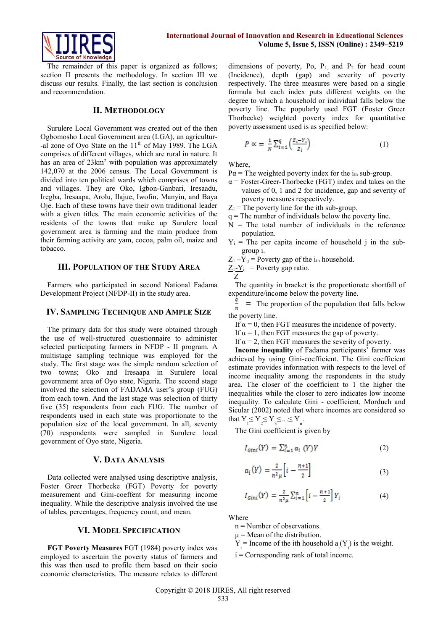

The remainder of this paper is organized as follows; section II presents the methodology. In section III we discuss our results. Finally, the last section is conclusion and recommendation.

#### **II. METHODOLOGY**

Surulere Local Government was created out of the then Ogbomosho Local Government area (LGA), an agricultur- -al zone of Oyo State on the 11<sup>th</sup> of May 1989. The LGA comprises of different villages, which are rural in nature. It has an area of  $23 \text{km}^2$  with population was approximately 142,070 at the 2006 census. The Local Government is divided into ten political wards which comprises of towns and villages. They are Oko, Igbon-Ganbari, Iresaadu, Iregba, Iresaapa, Arolu, Ilajue, Iwofin, Manyin, and Baya Oje. Each of these towns have their own traditional leader with a given titles. The main economic activities of the residents of the towns that make up Surulere local government area is farming and the main produce from their farming activity are yam, cocoa, palm oil, maize and tobacco.

## **III. POPULATION OF THE STUDY AREA**

Farmers who participated in second National Fadama Development Project (NFDP-II) in the study area.

#### **IV. SAMPLING TECHNIQUE AND AMPLE SIZE**

The primary data for this study were obtained through the use of well-structured questionnaire to administer selected participating farmers in NFDP - II program. A multistage sampling technique was employed for the study. The first stage was the simple random selection of two towns; Oko and Iresaapa in Surulere local governmemt area of Oyo stste, Nigeria. The second stage involved the selection of FADAMA user's group (FUG) from each town. And the last stage was selection of thirty five (35) respondents from each FUG. The number of respondents used in each state was proportionate to the population size of the local government. In all, seventy (70) respondents were sampled in Surulere local government of Oyo state, Nigeria.

#### **V. DATA ANALYSIS**

Data collected were analysed using descriptive analysis, Foster Greer Thorbecke (FGT) Poverty for poverty measurement and Gini-coeffent for measuring income inequality. While the descriptive analysis involved the use of tables, percentages, frequency count, and mean.

#### **VI. MODEL SPECIFICATION**

**FGT Poverty Measures** FGT (1984) poverty index was employed to ascertain the poverty status of farmers and this was then used to profile them based on their socio economic characteristics. The measure relates to different dimensions of poverty, Po,  $P_1$ , and  $P_2$  for head count (Incidence), depth (gap) and severity of poverty respectively. The three measures were based on a single formula but each index puts different weights on the degree to which a household or individual falls below the poverty line. The popularly used FGT (Foster Greer Thorbecke) weighted poverty index for quantitative poverty assessment used is as specified below:

$$
P \propto = \frac{1}{N} \sum_{i=1}^{q} \left( \frac{z_i - \gamma_i}{z_i} \right) \tag{1}
$$

Where,

$$
P\alpha
$$
 = The weighted powerty index for the  $i_{th}$  sub-group.

- $\alpha$  = Foster-Greer-Thorbecke (FGT) index and takes on the values of 0, 1 and 2 for incidence, gap and severity of poverty measures respectively.
- $Z_1$  = The poverty line for the ith sub-group.
- $q =$ The number of individuals below the poverty line.
- $N =$  The total number of individuals in the reference population.
- $Y_i$  = The per capita income of household j in the subgroup i.
- $Z_1 Y_{ij}$  = Poverty gap of the i<sub>th</sub> household.

$$
\frac{Z_1 - Y_i}{Z} = \text{Poverty gap ratio.}
$$

The quantity in bracket is the proportionate shortfall of expenditure/income below the poverty line.

 $\frac{q}{r}$  = The proportion of the population that falls below the poverty line.

- If  $\alpha = 0$ , then FGT measures the incidence of poverty.
- If  $\alpha = 1$ , then FGT measures the gap of poverty.
- If  $\alpha = 2$ , then FGT measures the severity of poverty.

**Income inequality** of Fadama participants' farmer was achieved by using Gini-coefficient. The Gini coefficient estimate provides information with respects to the level of income inequality among the respondents in the study area. The closer of the coefficient to 1 the higher the inequalities while the closer to zero indicates low income inequality. To calculate Gini - coefficient, Morduch and Sicular (2002) noted that where incomes are considered so that  $Y_1 \leq Y_2 \leq Y_3 \leq \ldots \leq Y_n$ .

The Gini coefficient is given by

$$
I_{Gini}(Y) = \sum_{i=1}^{n} a_i (Y)Y
$$
 (2)

$$
a_i(Y) = \frac{2}{n^2 \mu} \left[ i - \frac{n+1}{2} \right] \tag{3}
$$

$$
I_{Gini}(Y) = \frac{2}{n^2 \mu} \sum_{i=1}^{n} \left[ i - \frac{n+1}{2} \right] Y_i
$$
 (4)

**Where** 

- n = Number of observations.
- $\mu$  = Mean of the distribution.
- $Y_i$  = Income of the ith household  $a_i(Y_i)$  is the weight.
- $i =$  Corresponding rank of total income.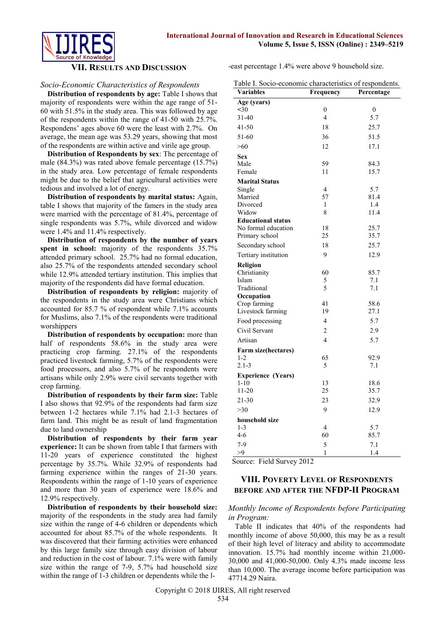

#### **VII. RESULTS AND DISCUSSION**

### *Socio-Economic Characteristics of Respondents*

**Distribution of respondents by age:** Table I shows that majority of respondents were within the age range of 51- 60 with 51.5% in the study area. This was followed by age of the respondents within the range of 41-50 with 25.7%. Respondens' ages above 60 were the least with 2.7%. On average, the mean age was 53.29 years, showing that most of the respondents are within active and virile age group.

**Distribution of Respondents by sex**: The percentage of male (84.3%) was rated above female percentage (15.7%) in the study area. Low percentage of female respondents might be due to the belief that agricultural activities were tedious and involved a lot of energy.

**Distribution of respondents by marital status:** Again, table I shows that majority of the famers in the study area were married with the percentage of 81.4%, percentage of single respondents was 5.7%, while divorced and widow were 1.4% and 11.4% respectively.

**Distribution of respondents by the number of years spent in school:** majority of the respondents 35.7% attended primary school. 25.7% had no formal education, also 25.7% of the respondents attended secondary school while 12.9% attended tertiary institution. This implies that majority of the respondents did have formal education.

**Distribution of respondents by religion:** majority of the respondents in the study area were Christians which accounted for 85.7 % of respondent while 7.1% accounts for Muslims, also 7.1% of the respondents were traditional worshippers

**Distribution of respondents by occupation:** more than half of respondents 58.6% in the study area were practicing crop farming. 27.1% of the respondents practiced livestock farming, 5.7% of the respondents were food processors, and also 5.7% of he respondents were artisans while only 2.9% were civil servants together with crop farming.

**Distribution of respondents by their farm size:** Table I also shows that 92.9% of the respondents had farm size between 1-2 hectares while 7.1% had 2.1-3 hectares of farm land. This might be as result of land fragmentation due to land ownership

**Distribution of respondents by their farm year experience:** It can be shown from table I that farmers with 11-20 years of experience constituted the highest percentage by 35.7%. While 32.9% of respondents had farming experience within the ranges of 21-30 years. Respondents within the range of 1-10 years of experience and more than 30 years of experience were 18.6% and 12.9% respectively.

**Distribution of respondents by their household size:** majority of the respondents in the study area had family size within the range of 4-6 children or dependents which accounted for about 85.7% of the whole respondents. It was discovered that their farming activities were enhanced by this large family size through easy division of labour and reduction in the cost of labour. 7.1% were with family size within the range of 7-9, 5.7% had household size within the range of 1-3 children or dependents while the l-east percentage 1.4% were above 9 household size.

| Table I. Socio-economic characteristics of respondents. |                          |            |  |  |
|---------------------------------------------------------|--------------------------|------------|--|--|
| <b>Variables</b>                                        | Frequency                | Percentage |  |  |
| Age (years)                                             |                          |            |  |  |
| < 30                                                    | $\mathbf{0}$             | 0          |  |  |
| 31-40                                                   | 4                        | 5.7        |  |  |
| $41 - 50$                                               | 18                       | 25.7       |  |  |
| 51-60                                                   | 36                       | 51.5       |  |  |
| >60                                                     | 12                       | 17.1       |  |  |
| <b>Sex</b>                                              |                          |            |  |  |
| Male                                                    | 59                       | 84.3       |  |  |
| Female                                                  | 11                       | 15.7       |  |  |
| <b>Marital Status</b>                                   |                          |            |  |  |
| Single                                                  | 4                        | 5.7        |  |  |
| Married                                                 | 57                       | 81.4       |  |  |
| Divorced                                                | 1                        | 1.4        |  |  |
| Widow                                                   | 8                        | 11.4       |  |  |
| <b>Educational status</b>                               |                          |            |  |  |
| No formal education                                     | 18                       | 25.7       |  |  |
| Primary school                                          | 25                       | 35.7       |  |  |
| Secondary school                                        | 18                       | 25.7       |  |  |
| Tertiary institution                                    | 9                        | 12.9       |  |  |
| Religion                                                |                          |            |  |  |
| Christianity                                            | 60                       | 85.7       |  |  |
| Islam                                                   | 5                        | 7.1        |  |  |
| Traditional                                             | 5                        | 7.1        |  |  |
| Occupation                                              |                          |            |  |  |
| Crop farming                                            | 41                       | 58.6       |  |  |
| Livestock farming                                       | 19                       | 27.1       |  |  |
| Food processing                                         | $\overline{4}$           | 5.7        |  |  |
| Civil Servant                                           | $\overline{c}$           | 2.9        |  |  |
| Artisan                                                 | $\overline{\mathcal{L}}$ | 5.7        |  |  |
| Farm size(hectares)                                     |                          |            |  |  |
| $1 - 2$                                                 | 65                       | 92.9       |  |  |
| $2.1 - 3$                                               | 5                        | 7.1        |  |  |
| <b>Experience (Years)</b>                               |                          |            |  |  |
| $1 - 10$                                                | 13                       | 18.6       |  |  |
| $11 - 20$                                               | 25                       | 35.7       |  |  |
| 21-30                                                   | 23                       | 32.9       |  |  |
| >30                                                     | 9                        | 12.9       |  |  |
| household size                                          |                          |            |  |  |
| $1 - 3$                                                 | $\overline{4}$           | 5.7        |  |  |
| $4 - 6$                                                 | 60                       | 85.7       |  |  |
| $7-9$                                                   | 5                        | 7.1        |  |  |
| >9                                                      | 1                        | 1.4        |  |  |

Source: Field Survey 2012

## **VIII. POVERTY LEVEL OF RESPONDENTS BEFORE AND AFTER THE NFDP-II PROGRAM**

## *Monthly Income of Respondents before Participating in Program:*

Table II indicates that 40% of the respondents had monthly income of above 50,000, this may be as a result of their high level of literacy and ability to accommodate innovation. 15.7% had monthly income within 21,000- 30,000 and 41,000-50,000. Only 4.3% made income less than 10,000. The average income before participation was 47714.29 Naira.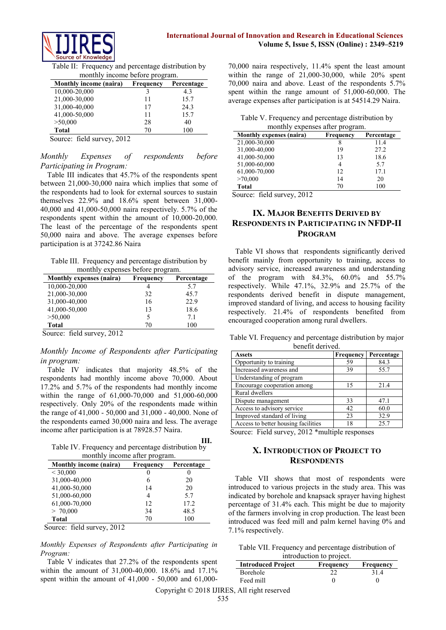

Table II: Frequency and percentage distribution by monthly income before program.

| <b>Monthly income (naira)</b> | Frequency | Percentage |
|-------------------------------|-----------|------------|
| 10,000-20,000                 |           | 4.3        |
| 21,000-30,000                 | 11        | 15.7       |
| 31,000-40,000                 | 17        | 24.3       |
| 41,000-50,000                 | 11        | 15.7       |
| >50,000                       | 28        | 40         |
| Total                         | 70        | 100        |

Source: field survey, 2012

## *Monthly Expenses of respondents before Participating in Program:*

Table III indicates that 45.7% of the respondents spent between 21,000-30,000 naira which implies that some of the respondents had to look for external sources to sustain themselves 22.9% and 18.6% spent between 31,000- 40,000 and 41,000-50,000 naira respectively. 5.7% of the respondents spent within the amount of 10,000-20,000. The least of the percentage of the respondents spent 50,000 naira and above. The average expenses before participation is at 37242.86 Naira

Table III. Frequency and percentage distribution by monthly expenses before program.

| Monthly expenses (naira) | $P - P + P - P - P - P$<br>Frequency | Percentage |
|--------------------------|--------------------------------------|------------|
| 10,000-20,000            | 4                                    | 5.7        |
| 21,000-30,000            | 32                                   | 45.7       |
| 31,000-40,000            | 16                                   | 22.9       |
| 41,000-50,000            | 13                                   | 18.6       |
| >50,000                  |                                      | 71         |
| <b>Total</b>             | 70                                   | 100        |

Source: field survey, 2012

## *Monthly Income of Respondents after Participating in program:*

Table IV indicates that majority 48.5% of the respondents had monthly income above 70,000. About 17.2% and 5.7% of the respondents had monthly income within the range of 61,000-70,000 and 51,000-60,000 respectively. Only 20% of the respondents made within the range of 41,000 - 50,000 and 31,000 - 40,000. None of the respondents earned 30,000 naira and less. The average income after participation is at 78928.57 Naira.

Table IV. Frequency and percentage distribution by monthly income after program. **III.**

| Monthly income (naira) | Frequency | Percentage |
|------------------------|-----------|------------|
| ${}<$ 30,000           | U         |            |
| 31,000-40,000          | 6         | 20         |
| 41,000-50,000          | 14        | 20         |
| 51,000-60,000          | 4         | 5.7        |
| 61,000-70,000          | 12        | 17.2       |
| > 70,000               | 34        | 48.5       |
| <b>Total</b>           | 70        | 100        |

Source: field survey, 2012

*Monthly Expenses of Respondents after Participating in Program:*

Table V indicates that 27.2% of the respondents spent within the amount of 31,000-40,000. 18.6% and 17.1% spent within the amount of 41,000 - 50,000 and 61,000-

70,000 naira respectively, 11.4% spent the least amount within the range of  $21,000-30,000$ , while  $20\%$  spent 70,000 naira and above. Least of the respondents 5.7% spent within the range amount of 51,000-60,000. The average expenses after participation is at 54514.29 Naira.

|  |  | Table V. Frequency and percentage distribution by |  |
|--|--|---------------------------------------------------|--|
|  |  |                                                   |  |

| monthly expenses after program. |           |            |  |
|---------------------------------|-----------|------------|--|
| Monthly expenses (naira)        | Frequency | Percentage |  |
| 21,000-30,000                   | 8         | 11.4       |  |
| 31,000-40,000                   | 19        | 27.2       |  |
| 41,000-50,000                   | 13        | 18.6       |  |
| 51,000-60,000                   | 4         | 5.7        |  |
| 61,000-70,000                   | 12        | 17.1       |  |
| >70,000                         | 14        | 20         |  |
| Total                           | 70        | 100        |  |

Source: field survey, 2012

# **IX. MAJOR BENEFITS DERIVED BY RESPONDENTS IN PARTICIPATING IN NFDP-II PROGRAM**

Table VI shows that respondents significantly derived benefit mainly from opportunity to training, access to advisory service, increased awareness and understanding of the program with 84.3%,  $60.0\%$  and  $55.7\%$ respectively. While 47.1%, 32.9% and 25.7% of the respondents derived benefit in dispute management, improved standard of living, and access to housing facility respectively. 21.4% of respondents benefited from encouraged cooperation among rural dwellers.

Table VI. Frequency and percentage distribution by major benefit derived.

| <b>Assets</b>                       | Frequency | Percentage |
|-------------------------------------|-----------|------------|
| Opportunity to training             | 59        | 84.3       |
| Increased awareness and             | 39        | 55.7       |
| Understanding of program            |           |            |
| Encourage cooperation among         | 15        | 21.4       |
| Rural dwellers                      |           |            |
| Dispute management                  | 33        | 47.1       |
| Access to advisory service          | 42        | 60.0       |
| Improved standard of living         | 23        | 32.9       |
| Access to better housing facilities | 18        | 25.7       |

Source: Field survey, 2012 \*multiple responses

# **X. INTRODUCTION OF PROJECT TO RESPONDENTS**

Table VII shows that most of respondents were introduced to various projects in the study area. This was indicated by borehole and knapsack sprayer having highest percentage of 31.4% each. This might be due to majority of the farmers involving in crop production. The least been introduced was feed mill and palm kernel having 0% and 7.1% respectively.

Table VII. Frequency and percentage distribution of introduction to project.

| muoduotton to project.    |                  |           |
|---------------------------|------------------|-----------|
| <b>Introduced Project</b> | <b>Frequency</b> | Frequency |
| Borehole                  |                  | 31.4      |
| Feed mill                 |                  |           |
|                           |                  |           |

Copyright © 2018 IJIRES, All right reserved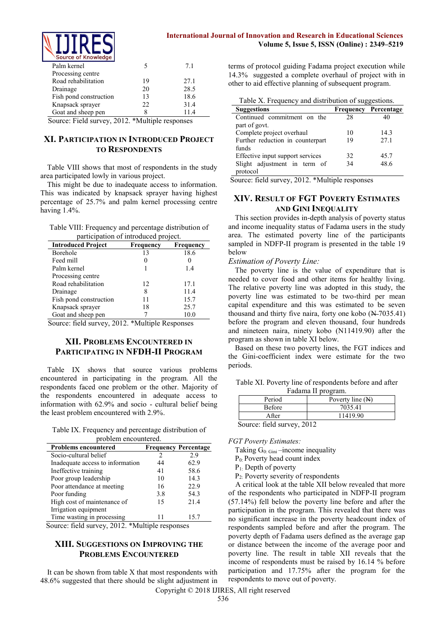

## **International Journal of Innovation and Research in Educational Sciences Volume 5, Issue 5, ISSN (Online) : 2349–5219**

| Source of Knowledge    |     |      |
|------------------------|-----|------|
| Palm kernel            |     | 71   |
| Processing centre      |     |      |
| Road rehabilitation    | 19  | 27.1 |
| Drainage               | 20  | 28.5 |
| Fish pond construction | 13  | 18.6 |
| Knapsack sprayer       | 22. | 31.4 |
| Goat and sheep pen     | x   | 11.4 |
|                        |     |      |

Source: Field survey, 2012. \*Multiple responses

# **XI. PARTICIPATION IN INTRODUCED PROJECT TO RESPONDENTS**

Table VIII shows that most of respondents in the study area participated lowly in various project.

This might be due to inadequate access to information. This was indicated by knapsack sprayer having highest percentage of 25.7% and palm kernel processing centre having 1.4%.

Table VIII: Frequency and percentage distribution of participation of introduced project.

| <b>Introduced Project</b> | Frequency | Frequency |
|---------------------------|-----------|-----------|
| Borehole                  | 13        | 18.6      |
| Feed mill                 |           |           |
| Palm kernel               |           | 1.4       |
| Processing centre         |           |           |
| Road rehabilitation       | 12        | 17.1      |
| Drainage                  |           | 11.4      |
| Fish pond construction    |           | 15.7      |
| Knapsack sprayer          | 18        | 25.7      |
| Goat and sheep pen        |           | 10.0      |

Source: field survey, 2012. \*Multiple Responses

# **XII. PROBLEMS ENCOUNTERED IN PARTICIPATING IN NFDH-II PROGRAM**

Table IX shows that source various problems encountered in participating in the program. All the respondents faced one problem or the other. Majority of the respondents encountered in adequate access to information with 62.9% and socio - cultural belief being the least problem encountered with 2.9%.

Table IX. Frequency and percentage distribution of problem encountered.

| <b>Problems encountered</b>      |     | <b>Frequency Percentage</b> |
|----------------------------------|-----|-----------------------------|
| Socio-cultural belief            |     | 2.9                         |
| Inadequate access to information | 44  | 62.9                        |
| Ineffective training             | 41  | 58.6                        |
| Poor group leadership            | 10  | 14.3                        |
| Poor attendance at meeting       | 16  | 22.9                        |
| Poor funding                     | 3.8 | 54.3                        |
| High cost of maintenance of      | 15  | 21.4                        |
| Irrigation equipment             |     |                             |
| Time wasting in processing       |     | 15.7                        |

Source: field survey, 2012. \*Multiple responses

# **XIII. SUGGESTIONS ON IMPROVING THE PROBLEMS ENCOUNTERED**

It can be shown from table X that most respondents with 48.6% suggested that there should be slight adjustment in terms of protocol guiding Fadama project execution while 14.3% suggested a complete overhaul of project with in other to aid effective planning of subsequent program.

Table X. Frequency and distribution of suggestions.

| <b>Suggestions</b>               |    | <b>Frequency Percentage</b> |
|----------------------------------|----|-----------------------------|
| Continued commitment on the      | 28 | 40                          |
| part of govt.                    |    |                             |
| Complete project overhaul        | 10 | 143                         |
| Further reduction in counterpart | 19 | 27.1                        |
| funds                            |    |                             |
| Effective input support services | 32 | 45.7                        |
| Slight adjustment in term of     | 34 | 48.6                        |
| protocol                         |    |                             |

Source: field survey, 2012. \*Multiple responses

# **XIV. RESULT OF FGT POVERTY ESTIMATES AND GINI INEQUALITY**

This section provides in-depth analysis of poverty status and income inequality status of Fadama users in the study area. The estimated poverty line of the participants sampled in NDFP-II program is presented in the table 19 below

#### *Estimation of Poverty Line:*

The poverty line is the value of expenditure that is needed to cover food and other items for healthy living. The relative poverty line was adopted in this study, the poverty line was estimated to be two-third per mean capital expenditure and this was estimated to be seven thousand and thirty five naira, forty one kobo  $(\mathbb{N} - 7035.41)$ before the program and eleven thousand, four hundreds and nineteen naira, ninety kobo (N11419.90) after the program as shown in table XI below.

Based on these two poverty lines, the FGT indices and the Gini-coefficient index were estimate for the two periods.

|  | Table XI. Poverty line of respondents before and after |  |
|--|--------------------------------------------------------|--|
|  | Fadama II program.                                     |  |

| Period                    | Poverty line $(N)$ |  |  |
|---------------------------|--------------------|--|--|
| Before                    | 7035.41            |  |  |
| A fter                    | 11419.90           |  |  |
| Source: field survey 2012 |                    |  |  |

Source: field survey, 2012

*FGT Poverty Estimates:*

Taking  $G_0$ :  $Gini$  –income inequality

P0: Poverty head count index

P1: Depth of poverty

P2: Poverty severity of respondents

A critical look at the table XII below revealed that more of the respondents who participated in NDFP-II program (57.14%) fell below the poverty line before and after the participation in the program. This revealed that there was no significant increase in the poverty headcount index of respondents sampled before and after the program. The poverty depth of Fadama users defined as the average gap or distance between the income of the average poor and poverty line. The result in table XII reveals that the income of respondents must be raised by 16.14 % before participation and 17.75% after the program for the respondents to move out of poverty.

Copyright © 2018 IJIRES, All right reserved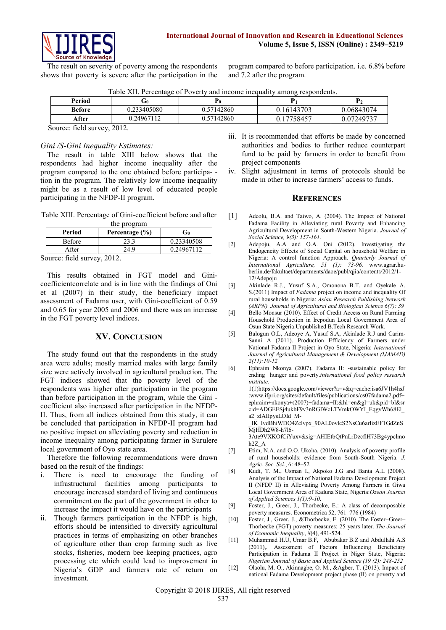

The result on severity of poverty among the respondents shows that poverty is severe after the participation in the program compared to before participation. i.e. 6.8% before and 7.2 after the program.

|  | Table XII. Percentage of Poverty and income inequality among respondents. |  |  |
|--|---------------------------------------------------------------------------|--|--|
|  |                                                                           |  |  |

| Period                      | ن سا        | r0         |            | $\mathbf{P}_{2}$ |
|-----------------------------|-------------|------------|------------|------------------|
| <b>Before</b>               | 0.233405080 | 0.57142860 | 0.16143703 | 0.06843074       |
| After                       | 0.24967112  | 0.57142860 | 17758457.  | 0.07249737       |
| Source: field survey, 2012. |             |            |            |                  |

# *Gini /S-Gini Inequality Estimates:*

The result in table XIII below shows that the respondents had higher income inequality after the program compared to the one obtained before participa- tion in the program. The relatively low income inequality might be as a result of low level of educated people participating in the NFDP-II program.

Table XIII. Percentage of Gini-coefficient before and after

| the program   |                    |            |  |
|---------------|--------------------|------------|--|
| Period        | Percentage $(\% )$ | Go         |  |
| <b>Before</b> | 23.3               | 0.23340508 |  |
| After         | 24.9               | 0.24967112 |  |
| -- - -        |                    |            |  |

Source: field survey, 2012.

This results obtained in FGT model and Ginicoefficientcorrelate and is in line with the findings of Oni et al (2007) in their study, the beneficiary impact assessment of Fadama user, with Gini-coefficient of 0.59 and 0.65 for year 2005 and 2006 and there was an increase in the FGT poverty level indices.

## **XV. CONCLUSION**

The study found out that the respondents in the study area were adults; mostly married males with large family size were actively involved in agricultural production. The FGT indices showed that the poverty level of the respondents was higher after participation in the program than before participation in the program, while the Gini coefficient also increased after participation in the NFDP-II. Thus, from all indices obtained from this study, it can be concluded that participation in NFDP-II program had no positive impact on alleviating poverty and reduction in income inequality among participating farmer in Surulere local government of Oyo state area.

Therefore the following recommendations were drawn based on the result of the findings:

- i. There is need to encourage the funding of infrastructural facilities among participants to encourage increased standard of living and continuous commitment on the part of the government in other to increase the impact it would have on the participants
- ii. Though farmers participation in the NFDP is high, efforts should be intensified to diversify agricultural practices in terms of emphasizing on other branches of agriculture other than crop farming such as live stocks, fisheries, modern bee keeping practices, agro processing etc which could lead to improvement in Nigeria's GDP and farmers rate of return on investment.
- iii. It is recommended that efforts be made by concerned authorities and bodies to further reduce counterpart fund to be paid by farmers in order to benefit from project components
- iv. Slight adjustment in terms of protocols should be made in other to increase farmers' access to funds.

#### **REFERENCES**

- [1] Adeolu, B.A. and Taiwo, A. (2004). The Impact of National Fadama Facility in Alleviating rural Poverty and Enhancing Agricultural Development in South-Western Nigeria. *Journal of Social Science, 9(3): 157-161.*
- [2] Adepoju, A.A and O.A. Oni (2012). Investigating the Endogeneity Effects of Social Capital on household Welfare in Nigeria: A control function Approach*. Quarterly Journal of International Agriculture, 51 (1): 73-96.* [www.agrar.hu](http://www.agrar.hu-berlin.de/fakultaet/departments/daoe/publ/qjia/contents/2012/1-12/Adepoju)[berlin.de/fakultaet/departments/daoe/publ/qjia/contents/2012/1-](http://www.agrar.hu-berlin.de/fakultaet/departments/daoe/publ/qjia/contents/2012/1-12/Adepoju) [12/Adepoju](http://www.agrar.hu-berlin.de/fakultaet/departments/daoe/publ/qjia/contents/2012/1-12/Adepoju)
- [3] Akinlade R.J., Yusuf S.A., Omonona B.T. and Oyekale A. S.(2011) Impact of *Fadama* project on income and inequality Of rural households in Nigeria: *Asian Research Publishing Network (ARPN) Journal of Agricultural and Biological Science 6(7): 39*
- [4] Bello Monsur (2010). Effect of Credit Access on Rural Farming Household Production in Irepodun Local Government Area of Osun State Nigeria.Unpublished B.Tech Research Work.
- [5] Balogun O.L, Adeoye A, Yusuf S.A, Akinlade R.J and Carim-Sanni A (2011). Production Efficiency of Farmers under National Fadama II Project in Oyo State, Nigeria: *International Journal of Agricultural Management & Development (IJAMAD) 2(11):10-12*
- [6] Ephraim Nkonya (2007). Fadama II: -sustainable policy for ending hunger and poverty.*international food policy research institute.* 1(1)https://docs.google.com/viewer?a=v&q=cache:isa6JV1h4hsJ :www.ifpri.org/sites/default/files/publications/os07fadama2.pdf+ ephraim+nkonya+(2007)+fadama+II:&hl=en&gl=uk&pid=bl&sr cid=ADGEESj4ukbF9v3nRGIWcLTVmkOWYI\_EqgvWh68El\_ a2\_zlAIIpysLOId\_M-\_IK\_IvdBhiWDO4Zclvpx\_90AL0ovlcS2NsCu6arIizEF1GdZnS  $\overline{M}$ j $\overline{H}$ Dh<sub>2</sub>W8-h7l6-3Ate9VXKOfCiYuxv&sig=AHIEtbQtPnLrDzcflH73Bg4ypclmo h2Z\_A
- [7] Etim, N.A. and O.O. Ukoha, (2010). Analysis of poverty profile of rural households: evidence from South-South Nigeria. *J. Agric. Soc. Sci.*, 6: 48–52
- [8] Kudi, T. M., Usman I., Akpoko J.G and Banta A.L (2008). Analysis of the Impact of National Fadama Development Project II (NFDP II) in Alleviating Poverty Among Farmers in Giwa Local Government Area of Kaduna State, Nigeria:*Ozean Journal of Applied Sciences 1(1):9-10.*
- [9] Foster, J., Greer, J., Thorbecke, E.: A class of decomposable poverty measures. Econometrica 52, 761–776 (1984)
- [10] Foster, J., Greer, J., &Thorbecke, E. (2010). The Foster–Greer– Thorbecke (FGT) poverty measures: 25 years later. *The Journal of Economic Inequality*, *8*(4), 491-524.
- [11] Muhammad H.U, Umar B.F, Abubakar B.Z and Abdullahi A.S (2011),. Assessment of Factors Influencing Beneficiary Participation in Fadama II Project in Niger State, Nigeria: *Nigerian Journal of Basic and Applied Science (19 (2): 248-252*
- [12] Olaolu, M. O., Akinnagbe, O. M., &Agber, T. (2013). Impact of national Fadama Development project phase (II) on poverty and